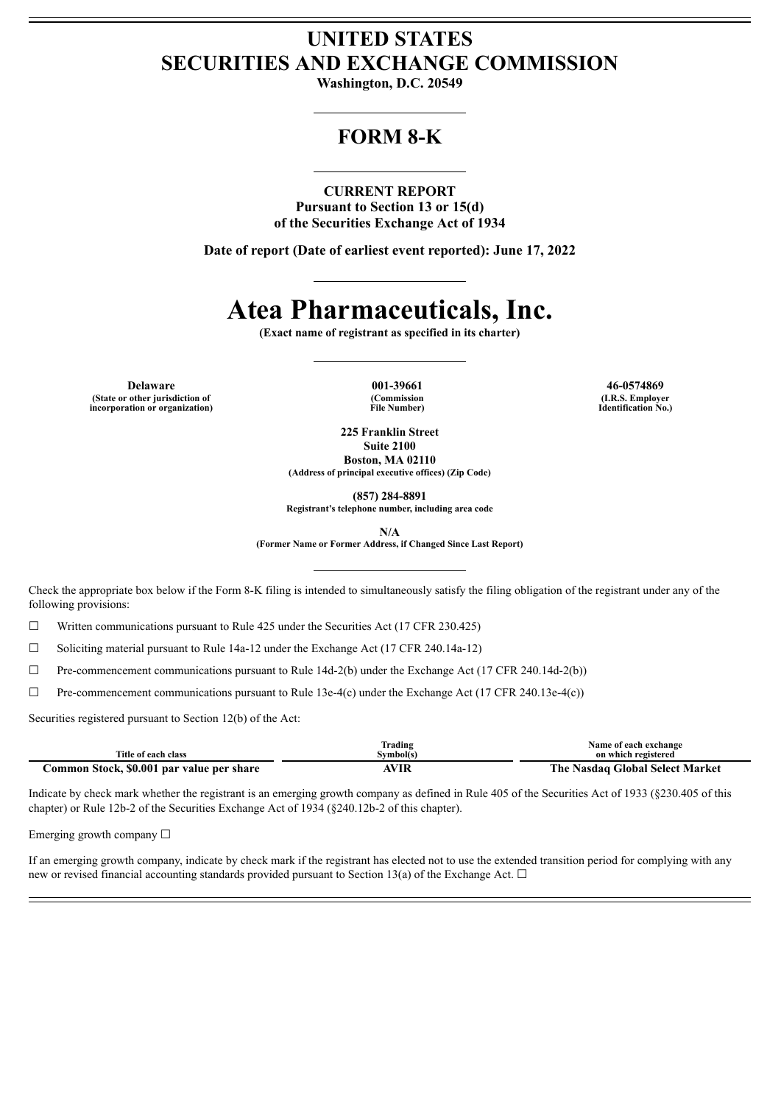## **UNITED STATES SECURITIES AND EXCHANGE COMMISSION**

**Washington, D.C. 20549**

## **FORM 8-K**

#### **CURRENT REPORT**

**Pursuant to Section 13 or 15(d) of the Securities Exchange Act of 1934**

**Date of report (Date of earliest event reported): June 17, 2022**

# **Atea Pharmaceuticals, Inc.**

**(Exact name of registrant as specified in its charter)**

**Delaware 001-39661 46-0574869 (State or other jurisdiction of incorporation or organization)**

**(Commission File Number)**

**(I.R.S. Employer Identification No.)**

**225 Franklin Street Suite 2100 Boston, MA 02110**

**(Address of principal executive offices) (Zip Code)**

**(857) 284-8891**

**Registrant's telephone number, including area code**

**N/A**

**(Former Name or Former Address, if Changed Since Last Report)**

Check the appropriate box below if the Form 8-K filing is intended to simultaneously satisfy the filing obligation of the registrant under any of the following provisions:

 $\Box$  Written communications pursuant to Rule 425 under the Securities Act (17 CFR 230.425)

☐ Soliciting material pursuant to Rule 14a-12 under the Exchange Act (17 CFR 240.14a-12)

 $\Box$  Pre-commencement communications pursuant to Rule 14d-2(b) under the Exchange Act (17 CFR 240.14d-2(b))

☐ Pre-commencement communications pursuant to Rule 13e-4(c) under the Exchange Act (17 CFR 240.13e-4(c))

Securities registered pursuant to Section 12(b) of the Act:

|                                           | rading    | <b>Name of each exchange</b>           |
|-------------------------------------------|-----------|----------------------------------------|
| Title of each class                       | Svmbol(s` | on which registered                    |
| Common Stock, \$0.001 par value per share | AVIR      | e Nasdaq Global Select Market<br>The : |

Indicate by check mark whether the registrant is an emerging growth company as defined in Rule 405 of the Securities Act of 1933 (§230.405 of this chapter) or Rule 12b-2 of the Securities Exchange Act of 1934 (§240.12b-2 of this chapter).

Emerging growth company  $\Box$ 

If an emerging growth company, indicate by check mark if the registrant has elected not to use the extended transition period for complying with any new or revised financial accounting standards provided pursuant to Section 13(a) of the Exchange Act.  $\Box$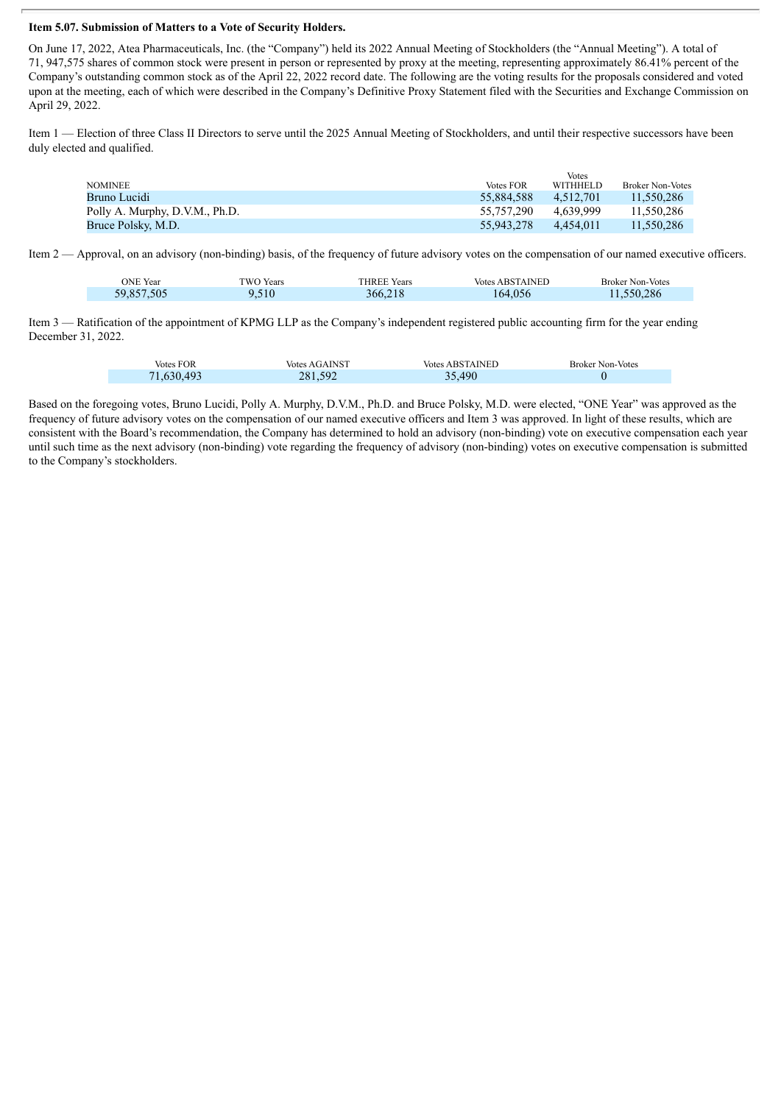### **Item 5.07. Submission of Matters to a Vote of Security Holders.**

On June 17, 2022, Atea Pharmaceuticals, Inc. (the "Company") held its 2022 Annual Meeting of Stockholders (the "Annual Meeting"). A total of 71, 947,575 shares of common stock were present in person or represented by proxy at the meeting, representing approximately 86.41% percent of the Company's outstanding common stock as of the April 22, 2022 record date. The following are the voting results for the proposals considered and voted upon at the meeting, each of which were described in the Company's Definitive Proxy Statement filed with the Securities and Exchange Commission on April 29, 2022.

Item 1 — Election of three Class II Directors to serve until the 2025 Annual Meeting of Stockholders, and until their respective successors have been duly elected and qualified.

|                                |                  | Votes           |                         |
|--------------------------------|------------------|-----------------|-------------------------|
| <b>NOMINEE</b>                 | <b>Votes FOR</b> | <b>WITHHELD</b> | <b>Broker Non-Votes</b> |
| Bruno Lucidi                   | 55.884.588       | 4.512.701       | 11.550.286              |
| Polly A. Murphy, D.V.M., Ph.D. | 55.757.290       | 4.639.999       | 11.550.286              |
| Bruce Polsky, M.D.             | 55.943.278       | 4.454.011       | 11.550.286              |

Item 2 — Approval, on an advisory (non-binding) basis, of the frequency of future advisory votes on the compensation of our named executive officers.

| ONE Year   | TWO Years | <b>THREE Years</b> | <b>Votes ABSTAINED</b> | <b>Broker Non-Votes</b> |
|------------|-----------|--------------------|------------------------|-------------------------|
| 59,857,505 | 9,510     | 366,218            | 164,056                | 11,550,286              |

Item 3 — Ratification of the appointment of KPMG LLP as the Company's independent registered public accounting firm for the year ending December 31, 2022.

| <b>Votes FOR</b> | <b>Votes AGAINST</b> | <b>Votes ABSTAINED</b> | <b>Broker Non-Votes</b> |
|------------------|----------------------|------------------------|-------------------------|
| 71,630,493       | 281,592              | 35,490                 |                         |

Based on the foregoing votes, Bruno Lucidi, Polly A. Murphy, D.V.M., Ph.D. and Bruce Polsky, M.D. were elected, "ONE Year" was approved as the frequency of future advisory votes on the compensation of our named executive officers and Item 3 was approved. In light of these results, which are consistent with the Board's recommendation, the Company has determined to hold an advisory (non-binding) vote on executive compensation each year until such time as the next advisory (non-binding) vote regarding the frequency of advisory (non-binding) votes on executive compensation is submitted to the Company's stockholders.